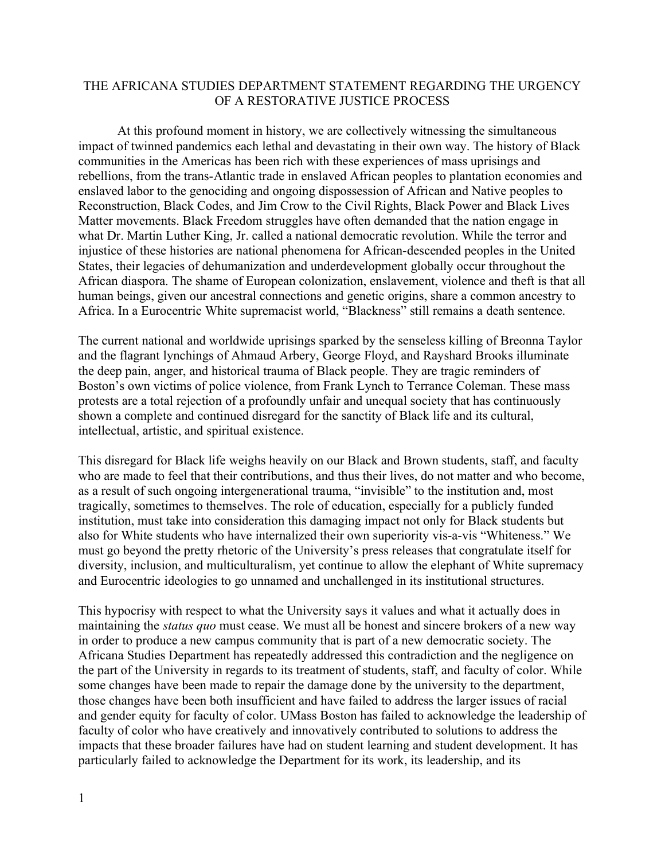## THE AFRICANA STUDIES DEPARTMENT STATEMENT REGARDING THE URGENCY OF A RESTORATIVE JUSTICE PROCESS

At this profound moment in history, we are collectively witnessing the simultaneous impact of twinned pandemics each lethal and devastating in their own way. The history of Black communities in the Americas has been rich with these experiences of mass uprisings and rebellions, from the trans-Atlantic trade in enslaved African peoples to plantation economies and enslaved labor to the genociding and ongoing dispossession of African and Native peoples to Reconstruction, Black Codes, and Jim Crow to the Civil Rights, Black Power and Black Lives Matter movements. Black Freedom struggles have often demanded that the nation engage in what Dr. Martin Luther King, Jr. called a national democratic revolution. While the terror and injustice of these histories are national phenomena for African-descended peoples in the United States, their legacies of dehumanization and underdevelopment globally occur throughout the African diaspora. The shame of European colonization, enslavement, violence and theft is that all human beings, given our ancestral connections and genetic origins, share a common ancestry to Africa. In a Eurocentric White supremacist world, "Blackness" still remains a death sentence.

The current national and worldwide uprisings sparked by the senseless killing of Breonna Taylor and the flagrant lynchings of Ahmaud Arbery, George Floyd, and Rayshard Brooks illuminate the deep pain, anger, and historical trauma of Black people. They are tragic reminders of Boston's own victims of police violence, from Frank Lynch to Terrance Coleman. These mass protests are a total rejection of a profoundly unfair and unequal society that has continuously shown a complete and continued disregard for the sanctity of Black life and its cultural, intellectual, artistic, and spiritual existence.

This disregard for Black life weighs heavily on our Black and Brown students, staff, and faculty who are made to feel that their contributions, and thus their lives, do not matter and who become, as a result of such ongoing intergenerational trauma, "invisible" to the institution and, most tragically, sometimes to themselves. The role of education, especially for a publicly funded institution, must take into consideration this damaging impact not only for Black students but also for White students who have internalized their own superiority vis-a-vis "Whiteness." We must go beyond the pretty rhetoric of the University's press releases that congratulate itself for diversity, inclusion, and multiculturalism, yet continue to allow the elephant of White supremacy and Eurocentric ideologies to go unnamed and unchallenged in its institutional structures.

This hypocrisy with respect to what the University says it values and what it actually does in maintaining the *status quo* must cease. We must all be honest and sincere brokers of a new way in order to produce a new campus community that is part of a new democratic society. The Africana Studies Department has repeatedly addressed this contradiction and the negligence on the part of the University in regards to its treatment of students, staff, and faculty of color. While some changes have been made to repair the damage done by the university to the department, those changes have been both insufficient and have failed to address the larger issues of racial and gender equity for faculty of color. UMass Boston has failed to acknowledge the leadership of faculty of color who have creatively and innovatively contributed to solutions to address the impacts that these broader failures have had on student learning and student development. It has particularly failed to acknowledge the Department for its work, its leadership, and its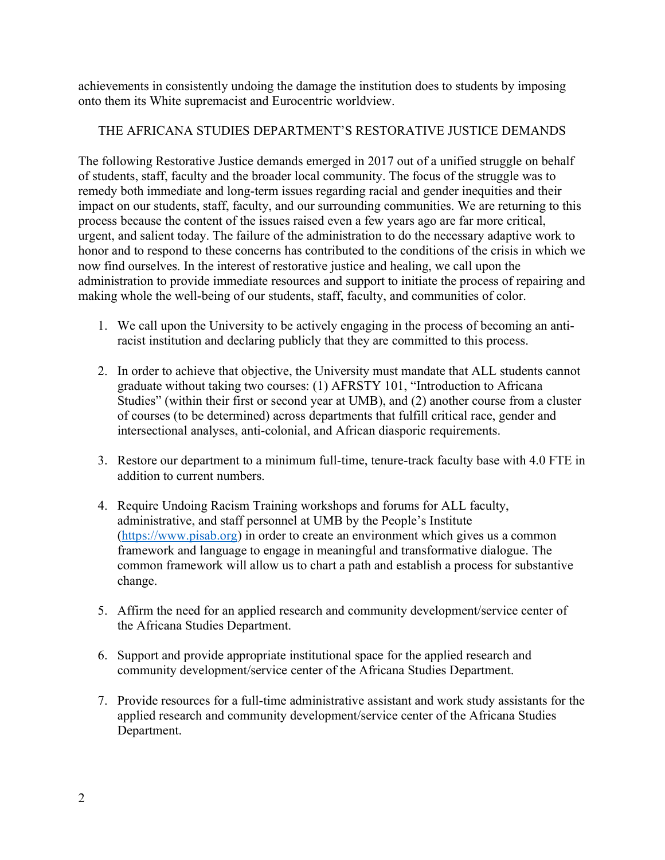achievements in consistently undoing the damage the institution does to students by imposing onto them its White supremacist and Eurocentric worldview.

## THE AFRICANA STUDIES DEPARTMENT'S RESTORATIVE JUSTICE DEMANDS

The following Restorative Justice demands emerged in 2017 out of a unified struggle on behalf of students, staff, faculty and the broader local community. The focus of the struggle was to remedy both immediate and long-term issues regarding racial and gender inequities and their impact on our students, staff, faculty, and our surrounding communities. We are returning to this process because the content of the issues raised even a few years ago are far more critical, urgent, and salient today. The failure of the administration to do the necessary adaptive work to honor and to respond to these concerns has contributed to the conditions of the crisis in which we now find ourselves. In the interest of restorative justice and healing, we call upon the administration to provide immediate resources and support to initiate the process of repairing and making whole the well-being of our students, staff, faculty, and communities of color.

- 1. We call upon the University to be actively engaging in the process of becoming an antiracist institution and declaring publicly that they are committed to this process.
- 2. In order to achieve that objective, the University must mandate that ALL students cannot graduate without taking two courses: (1) AFRSTY 101, "Introduction to Africana Studies" (within their first or second year at UMB), and (2) another course from a cluster of courses (to be determined) across departments that fulfill critical race, gender and intersectional analyses, anti-colonial, and African diasporic requirements.
- 3. Restore our department to a minimum full-time, tenure-track faculty base with 4.0 FTE in addition to current numbers.
- 4. Require Undoing Racism Training workshops and forums for ALL faculty, administrative, and staff personnel at UMB by the People's Institute (https://www.pisab.org) in order to create an environment which gives us a common framework and language to engage in meaningful and transformative dialogue. The common framework will allow us to chart a path and establish a process for substantive change.
- 5. Affirm the need for an applied research and community development/service center of the Africana Studies Department.
- 6. Support and provide appropriate institutional space for the applied research and community development/service center of the Africana Studies Department.
- 7. Provide resources for a full-time administrative assistant and work study assistants for the applied research and community development/service center of the Africana Studies Department.